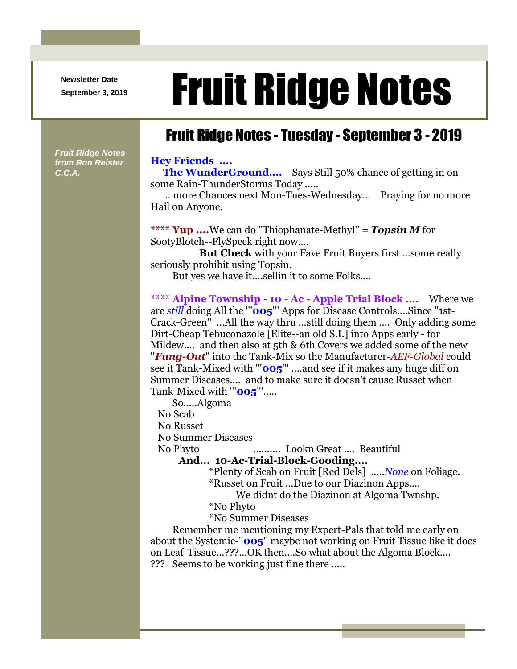**Newsletter Date**

# Newsletter Date **Fruit Ridge Notes**

## Fruit Ridge Notes - Tuesday - September 3 - 2019

*Fruit Ridge Notes from Ron Reister C.C.A.*

#### **Hey Friends ....**

**The WunderGround....** Says Still 50% chance of getting in on some Rain-ThunderStorms Today .....

...more Chances next Mon-Tues-Wednesday... Praying for no more Hail on Anyone.

**\*\*\*\* Yup ....**We can do ''Thiophanate-Methyl'' = *Topsin M* for SootyBlotch--FlySpeck right now....

 **But Check** with your Fave Fruit Buyers first ...some really seriously prohibit using Topsin.

But yes we have it....sellin it to some Folks....

**\*\*\*\* Alpine Township - 10 - Ac - Apple Trial Block ....** Where we are *still* doing All the '''**005**''' Apps for Disease Controls....Since ''1st-Crack-Green'' ...All the way thru ...still doing them .... Only adding some Dirt-Cheap Tebuconazole [Elite--an old S.I.] into Apps early - for Mildew.... and then also at 5th & 6th Covers we added some of the new ''*Fung-Out*'' into the Tank-Mix so the Manufacturer-*AEF-Global* could see it Tank-Mixed with "'**005**" ....and see if it makes any huge diff on Summer Diseases.... and to make sure it doesn't cause Russet when Tank-Mixed with "'**005**"'.....

So.....Algoma

No Scab

No Russet

No Summer Diseases

No Phyto .......... Lookn Great .... Beautiful

### **And... 10-Ac-Trial-Block-Gooding....**

\*Plenty of Scab on Fruit [Red Dels] .....*None* on Foliage.

\*Russet on Fruit ...Due to our Diazinon Apps....

We didnt do the Diazinon at Algoma Twnshp.

\*No Phyto

\*No Summer Diseases

Remember me mentioning my Expert-Pals that told me early on about the Systemic-''**005**'' maybe not working on Fruit Tissue like it does on Leaf-Tissue...???...OK then....So what about the Algoma Block.... ??? Seems to be working just fine there .....